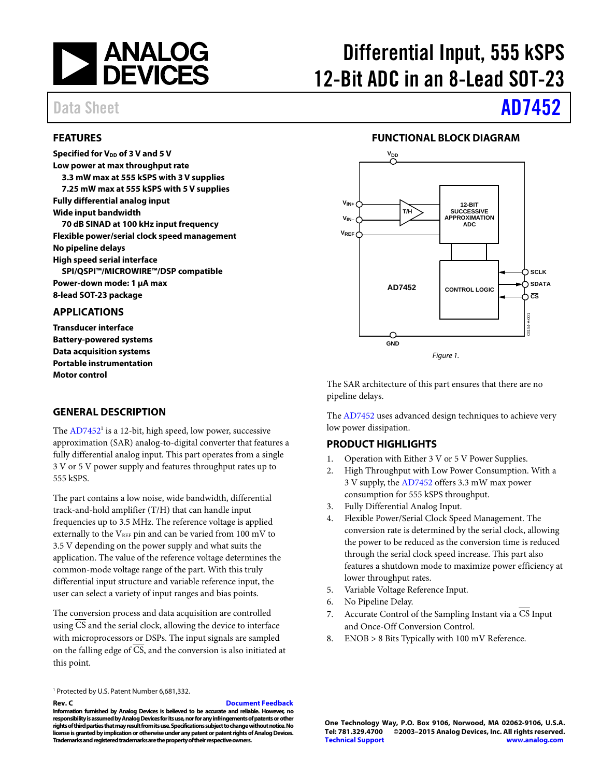

### <span id="page-0-0"></span>**FEATURES**

**Specified for V<sub>DD</sub> of 3 V and 5 V Low power at max throughput rate 3.3 mW max at 555 kSPS with 3 V supplies 7.25 mW max at 555 kSPS with 5 V supplies Fully differential analog input Wide input bandwidth 70 dB SINAD at 100 kHz input frequency Flexible power/serial clock speed management No pipeline delays High speed serial interface SPI/QSPI™/MICROWIRE™/DSP compatible Power-down mode: 1 μA max 8-lead SOT-23 package** 

### <span id="page-0-1"></span>**APPLICATIONS**

**Transducer interface Battery-powered systems Data acquisition systems Portable instrumentation Motor control** 

### <span id="page-0-2"></span>**GENERAL DESCRIPTION**

The AD7452<sup>1</sup> is a 12-bit, high speed, low power, successive approximation (SAR) analog-to-digital converter that features a fully differential analog input. This part operates from a single 3 V or 5 V power supply and features throughput rates up to 555 kSPS.

The part contains a low noise, wide bandwidth, differential track-and-hold amplifier (T/H) that can handle input frequencies up to 3.5 MHz. The reference voltage is applied externally to the  $V_{REF}$  pin and can be varied from 100 mV to 3.5 V depending on the power supply and what suits the application. The value of the reference voltage determines the common-mode voltage range of the part. With this truly differential input structure and variable reference input, the user can select a variety of input ranges and bias points.

The conversion process and data acquisition are controlled using  $\overline{CS}$  and the serial clock, allowing the device to interface with microprocessors or DSPs. The input signals are sampled on the falling edge of CS, and the conversion is also initiated at this point.

1 Protected by U.S. Patent Number 6,681,332.

**Rev. C [Document Feedback](https://form.analog.com/Form_Pages/feedback/documentfeedback.aspx?doc=AD7452.pdf&product=AD7452&rev=C)** 

**Information furnished by Analog Devices is believed to be accurate and reliable. However, no responsibility is assumed by Analog Devices for its use, nor for any infringements of patents or other rights of third parties that may result from its use. Specifications subject to change without notice. No license is granted by implication or otherwise under any patent or patent rights of Analog Devices. Trademarks and registered trademarks are the property of their respective owners.** 

# Differential Input, 555 kSPS 12-Bit ADC in an 8-Lead SOT-23

# Data Sheet **[AD7452](http://www.analog.com/ad7452?doc=ad7452.pdf)**

### **FUNCTIONAL BLOCK DIAGRAM**

<span id="page-0-3"></span>

The SAR architecture of this part ensures that there are no pipeline delays.

The [AD7452 u](http://www.analog.com/ad7452?doc=ad7452.pdf)ses advanced design techniques to achieve very low power dissipation.

### <span id="page-0-4"></span>**PRODUCT HIGHLIGHTS**

- 1. Operation with Either 3 V or 5 V Power Supplies.
- 2. High Throughput with Low Power Consumption. With a 3 V supply, the [AD7452](http://www.analog.com/ad7452?doc=ad7452.pdf) offers 3.3 mW max power consumption for 555 kSPS throughput.
- 3. Fully Differential Analog Input.
- 4. Flexible Power/Serial Clock Speed Management. The conversion rate is determined by the serial clock, allowing the power to be reduced as the conversion time is reduced through the serial clock speed increase. This part also features a shutdown mode to maximize power efficiency at lower throughput rates.
- 5. Variable Voltage Reference Input.
- 6. No Pipeline Delay.
- 7. Accurate Control of the Sampling Instant via a CS Input and Once-Off Conversion Control.
- 8. ENOB > 8 Bits Typically with 100 mV Reference.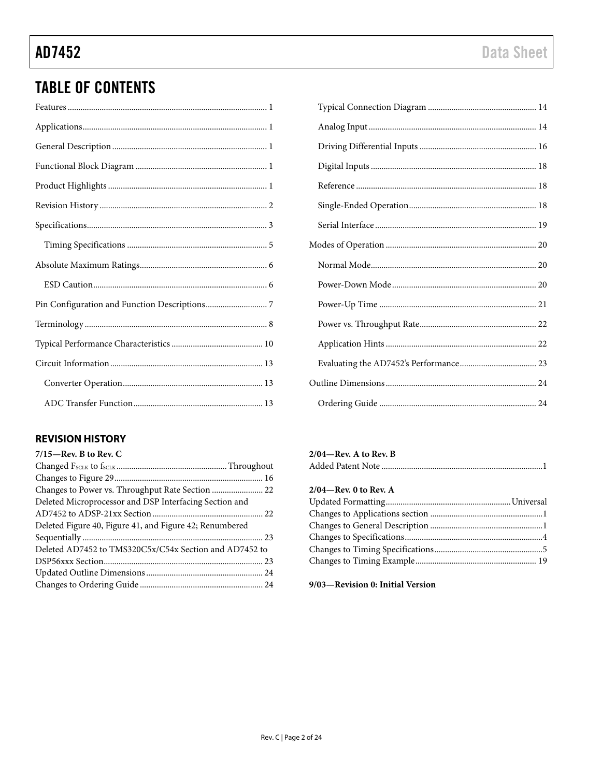## **TABLE OF CONTENTS**

### <span id="page-1-0"></span>**REVISION HISTORY**

| $7/15$ —Rev. B to Rev. C                                |  |
|---------------------------------------------------------|--|
|                                                         |  |
|                                                         |  |
| Changes to Power vs. Throughput Rate Section  22        |  |
| Deleted Microprocessor and DSP Interfacing Section and  |  |
|                                                         |  |
| Deleted Figure 40, Figure 41, and Figure 42; Renumbered |  |
|                                                         |  |
| Deleted AD7452 to TMS320C5x/C54x Section and AD7452 to  |  |
|                                                         |  |
|                                                         |  |
|                                                         |  |
|                                                         |  |

### $2/04$ —Rev. A to Rev. B

|--|

### 2/04-Rev. 0 to Rev. A

### 9/03-Revision 0: Initial Version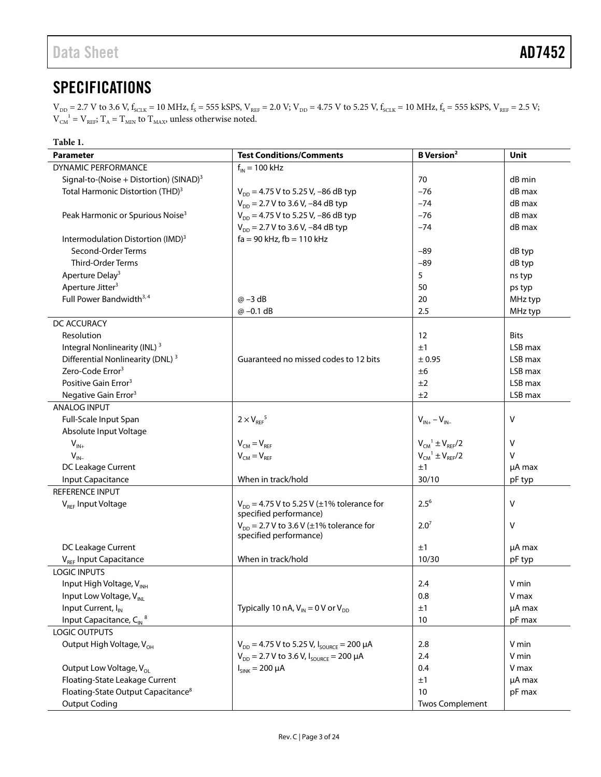## <span id="page-2-0"></span>**SPECIFICATIONS**

<span id="page-2-1"></span> $V_{\text{DD}}$  = 2.7 V to 3.6 V,  $f_{\text{SCLK}}$  = 10 MHz,  $f_{\text{S}}$  = 555 kSPS,  $V_{\text{REF}}$  = 2.0 V;  $V_{\text{DD}}$  = 4.75 V to 5.25 V,  $f_{\text{SCLK}}$  = 10 MHz,  $f_{\text{S}}$  = 555 kSPS,  $V_{\text{REF}}$  = 2.5 V;  $V_{CM}^{-1} = V_{REF}$  $V_{CM}^{-1} = V_{REF}$  $V_{CM}^{-1} = V_{REF}$ ;  $T_A = T_{MIN}$  to  $T_{MAX}$ , unless otherwise noted.

| Table 1.                                            |                                                                          |                               |             |
|-----------------------------------------------------|--------------------------------------------------------------------------|-------------------------------|-------------|
| <b>Parameter</b>                                    | <b>Test Conditions/Comments</b>                                          | <b>B</b> Version <sup>2</sup> | Unit        |
| <b>DYNAMIC PERFORMANCE</b>                          | $f_{IN}$ = 100 kHz                                                       |                               |             |
| Signal-to-(Noise + Distortion) (SINAD) <sup>3</sup> |                                                                          | 70                            | dB min      |
| Total Harmonic Distortion (THD) <sup>3</sup>        | $V_{DD} = 4.75$ V to 5.25 V, -86 dB typ                                  | $-76$                         | dB max      |
|                                                     | $V_{DD}$ = 2.7 V to 3.6 V, -84 dB typ                                    | $-74$                         | dB max      |
| Peak Harmonic or Spurious Noise <sup>3</sup>        | $V_{DD} = 4.75$ V to 5.25 V, -86 dB typ                                  | $-76$                         | dB max      |
|                                                     | $V_{DD}$ = 2.7 V to 3.6 V, -84 dB typ                                    | $-74$                         | dB max      |
| Intermodulation Distortion (IMD) <sup>3</sup>       | $fa = 90$ kHz, $fb = 110$ kHz                                            |                               |             |
| Second-Order Terms                                  |                                                                          | $-89$                         | dB typ      |
| <b>Third-Order Terms</b>                            |                                                                          | $-89$                         | dB typ      |
| Aperture Delay <sup>3</sup>                         |                                                                          | 5                             | ns typ      |
| Aperture Jitter <sup>3</sup>                        |                                                                          | 50                            | ps typ      |
| Full Power Bandwidth <sup>3,4</sup>                 | $\omega$ –3 dB                                                           | 20                            | MHz typ     |
|                                                     | $@ -0.1 dB$                                                              | 2.5                           | MHz typ     |
| DC ACCURACY                                         |                                                                          |                               |             |
| Resolution                                          |                                                                          | 12                            | <b>Bits</b> |
| Integral Nonlinearity (INL) <sup>3</sup>            |                                                                          | ±1                            | LSB max     |
| Differential Nonlinearity (DNL) <sup>3</sup>        | Guaranteed no missed codes to 12 bits                                    | ± 0.95                        | LSB max     |
| Zero-Code Error <sup>3</sup>                        |                                                                          | ±6                            | LSB max     |
| Positive Gain Error <sup>3</sup>                    |                                                                          | ±2                            | LSB max     |
| Negative Gain Error <sup>3</sup>                    |                                                                          | ±2                            | LSB max     |
| ANALOG INPUT                                        |                                                                          |                               |             |
| Full-Scale Input Span                               | $2 \times V_{\text{REF}}^5$                                              | $V_{IN+} - V_{IN-}$           | Λ           |
| Absolute Input Voltage                              |                                                                          |                               |             |
| $V_{IN+}$                                           | $V_{CM} = V_{RFF}$                                                       | $V_{CM}^1 \pm V_{REF}/2$      | V           |
| $V_{IN}$                                            | $V_{CM} = V_{REF}$                                                       | $V_{CM}^1 \pm V_{REF}/2$      | v           |
| DC Leakage Current                                  |                                                                          | ±1                            | µA max      |
| Input Capacitance                                   | When in track/hold                                                       | 30/10                         | pF typ      |
| <b>REFERENCE INPUT</b>                              |                                                                          |                               |             |
| V <sub>REF</sub> Input Voltage                      | $V_{DD} = 4.75 V$ to 5.25 V (±1% tolerance for<br>specified performance) | $2.5^{6}$                     | Λ           |
|                                                     | $V_{DD}$ = 2.7 V to 3.6 V ( $\pm$ 1% tolerance for                       | 2.0 <sup>7</sup>              | ٧           |
|                                                     | specified performance)                                                   |                               |             |
| DC Leakage Current                                  |                                                                          | ±1                            | µA max      |
| V <sub>REF</sub> Input Capacitance                  | When in track/hold                                                       | 10/30                         | pF typ      |
| <b>LOGIC INPUTS</b>                                 |                                                                          |                               |             |
| Input High Voltage, VINH                            |                                                                          | 2.4                           | V min       |
| Input Low Voltage, V <sub>INL</sub>                 |                                                                          | 0.8                           | V max       |
| Input Current, I <sub>IN</sub>                      | Typically 10 nA, $V_{IN} = 0 V$ or $V_{DD}$                              | ±1                            | µA max      |
| Input Capacitance, $C_{\text{IN}}^8$                |                                                                          | 10                            | pF max      |
| <b>LOGIC OUTPUTS</b>                                |                                                                          |                               |             |
| Output High Voltage, V <sub>OH</sub>                | $V_{DD} = 4.75$ V to 5.25 V, $I_{SOLRCE} = 200 \mu A$                    | 2.8                           | V min       |
|                                                     | $V_{DD}$ = 2.7 V to 3.6 V, $I_{\text{SOLRCE}}$ = 200 µA                  | 2.4                           | V min       |
| Output Low Voltage, V <sub>OL</sub>                 | $I_{SINK} = 200 \mu A$                                                   | 0.4                           | V max       |
| Floating-State Leakage Current                      |                                                                          | ±1                            | µA max      |
| Floating-State Output Capacitance <sup>8</sup>      |                                                                          | 10                            | pF max      |
| <b>Output Coding</b>                                |                                                                          | <b>Twos Complement</b>        |             |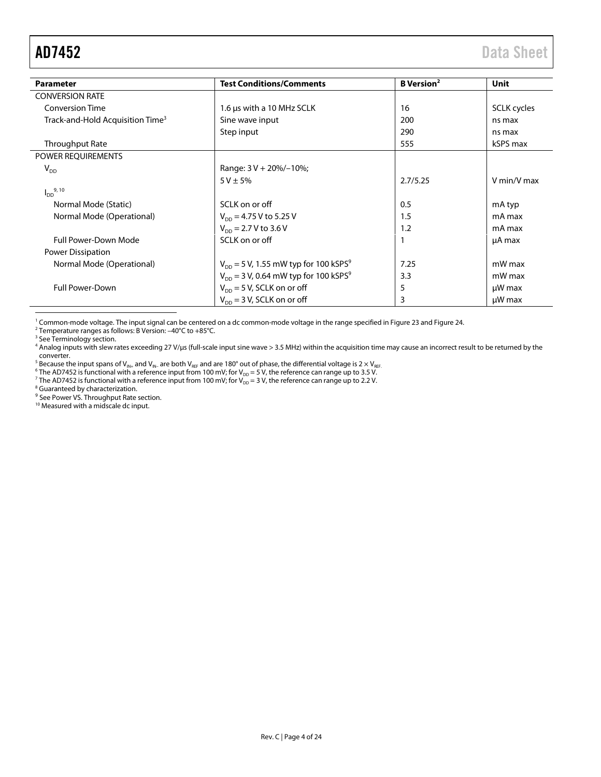<span id="page-3-0"></span>

| <b>Parameter</b>                             | <b>Test Conditions/Comments</b>                       | <b>B</b> Version <sup>2</sup> | Unit        |
|----------------------------------------------|-------------------------------------------------------|-------------------------------|-------------|
| <b>CONVERSION RATE</b>                       |                                                       |                               |             |
| <b>Conversion Time</b>                       | 1.6 µs with a 10 MHz SCLK                             | 16                            | SCLK cycles |
| Track-and-Hold Acquisition Time <sup>3</sup> | Sine wave input                                       | 200                           | ns max      |
|                                              | Step input                                            | 290                           | ns max      |
| Throughput Rate                              |                                                       | 555                           | kSPS max    |
| POWER REQUIREMENTS                           |                                                       |                               |             |
| $V_{DD}$                                     | Range: $3 V + 20\%/$ –10%;                            |                               |             |
|                                              | $5 V \pm 5%$                                          | 2.7/5.25                      | V min/V max |
| $I_{DD}^{9, 10}$                             |                                                       |                               |             |
| Normal Mode (Static)                         | SCLK on or off                                        | 0.5                           | mA typ      |
| Normal Mode (Operational)                    | $V_{\text{DD}} = 4.75$ V to 5.25 V                    | 1.5                           | mA max      |
|                                              | $V_{\text{DD}} = 2.7 V$ to 3.6 V                      | 1.2                           | mA max      |
| <b>Full Power-Down Mode</b>                  | SCLK on or off                                        |                               | µA max      |
| Power Dissipation                            |                                                       |                               |             |
| Normal Mode (Operational)                    | $V_{DD}$ = 5 V, 1.55 mW typ for 100 kSPS <sup>9</sup> | 7.25                          | mW max      |
|                                              | $V_{DD}$ = 3 V, 0.64 mW typ for 100 kSPS <sup>9</sup> | 3.3                           | mW max      |
| <b>Full Power-Down</b>                       | $V_{DD}$ = 5 V, SCLK on or off                        | 5                             | $\mu$ W max |
|                                              | $V_{DD}$ = 3 V, SCLK on or off                        | 3                             | $\mu$ W max |

<sup>1</sup> Common-mode voltage. The input signal can be centered on a dc common-mode voltage in the range specified in Figure 23 and Figure [24.](#page-13-3) <sup>2</sup> Temperature ranges as follows: B Version: –40°C to +85°C.

<sup>3</sup> Se[e Terminology](#page-7-0) section.

<sup>4</sup> Analog inputs with slew rates exceeding 27 V/µs (full-scale input sine wave > 3.5 MHz) within the acquisition time may cause an incorrect result to be returned by the

converter.<br><sup>5</sup> Because the input spans of V<sub>IN+</sub> and V<sub>IN+</sub> are both V<sub>IEF</sub> and are 180° out of phase, the differential voltage is 2 × V<sub>IEF</sub><br><sup>6</sup> The AD7452 is functional with a reference input from 100 mV; for V<sub>DD</sub> = 5

<sup>9</sup> Se[e Power VS. Throughput Rate](#page-21-0) section.

<sup>10</sup> Measured with a midscale dc input.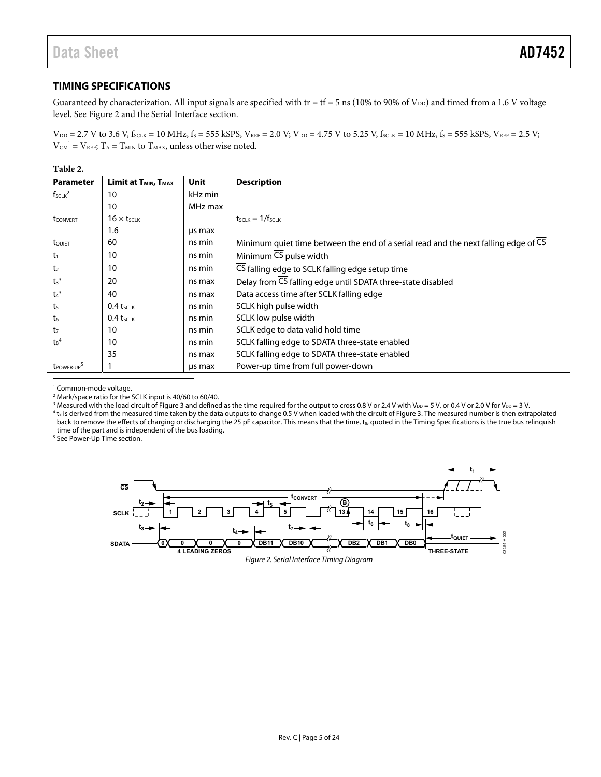### <span id="page-4-0"></span>**TIMING SPECIFICATIONS**

Guaranteed by characterization. All input signals are specified with tr = tf = 5 ns (10% to 90% of  $V_{DD}$ ) and timed from a 1.6 V voltage level. Se[e Figure 2 a](#page-4-1)nd th[e Serial Interface s](#page-18-0)ection.

 $V_{DD} = 2.7$  V to 3.6 V,  $f_{SCLK} = 10$  MHz,  $f_S = 555$  kSPS,  $V_{REF} = 2.0$  V;  $V_{DD} = 4.75$  V to 5.25 V,  $f_{SCLK} = 10$  MHz,  $f_S = 555$  kSPS,  $V_{REF} = 2.5$  V;  $V_{CM}$ <sup>1</sup> =  $V_{REF}$ ;  $T_A$  =  $T_{MIN}$  to  $T_{MAX}$ , unless otherwise noted.

**Table 2.** 

| <b>Parameter</b>      | Limit at T <sub>MIN</sub> , T <sub>MAX</sub> | <b>Unit</b> | <b>Description</b>                                                                  |
|-----------------------|----------------------------------------------|-------------|-------------------------------------------------------------------------------------|
| $f_{SCLK}^2$          | 10                                           | kHz min     |                                                                                     |
|                       | 10                                           | MHz max     |                                                                                     |
| <b>t</b> CONVERT      | $16 \times t$ <sub>SCLK</sub>                |             | $t$ <sub>SCLK</sub> $=$ 1/ $f$ <sub>SCLK</sub>                                      |
|                       | 1.6                                          | us max      |                                                                                     |
| tQUIET                | 60                                           | ns min      | Minimum quiet time between the end of a serial read and the next falling edge of CS |
| t <sub>1</sub>        | 10                                           | ns min      | Minimum $\overline{\text{CS}}$ pulse width                                          |
| t <sub>2</sub>        | 10                                           | ns min      | CS falling edge to SCLK falling edge setup time                                     |
| $t_3$ <sup>3</sup>    | 20                                           | ns max      | Delay from CS falling edge until SDATA three-state disabled                         |
| $t_4$ <sup>3</sup>    | 40                                           | ns max      | Data access time after SCLK falling edge                                            |
| t <sub>5</sub>        | $0.4$ tsclk                                  | ns min      | SCLK high pulse width                                                               |
| $t_6$                 | $0.4$ tsclk                                  | ns min      | SCLK low pulse width                                                                |
| t <sub>7</sub>        | 10                                           | ns min      | SCLK edge to data valid hold time                                                   |
| $\text{ts}^4$         | 10                                           | ns min      | SCLK falling edge to SDATA three-state enabled                                      |
|                       | 35                                           | ns max      | SCLK falling edge to SDATA three-state enabled                                      |
| t <sub>POWER-UP</sub> |                                              | us max      | Power-up time from full power-down                                                  |

<sup>1</sup> Common-mode voltage.

 $\overline{a}$ 

<sup>2</sup> Mark/space ratio for the SCLK input is 40/60 to 60/40.  $^2$  Mark/space ratio for the SCLK input is 40/60 to 60/40.<br><sup>3</sup> Measured with the load circuit of Figure 3 and definer

 $^3$  Measured with the load circuit o[f Figure 3 a](#page-5-2)nd defined as the time required for the output to cross 0.8 V or 2.4 V with V $_{\rm DD}$  = 5 V, or 0.4 V or 2.0 V for V $_{\rm DD}$  = 3 V.<br> $^4$  to is derived from the measured time

 $4$ <sub>ts</sub> is derived from the measured time taken by the data outputs to change 0.5 V when loaded with the circuit o[f Figure 3.](#page-5-2) The measured number is then extrapolated back to remove the effects of charging or discharging the 25 pF capacitor. This means that the time, t<sub>8</sub>, quoted in the Timing Specifications is the true bus relinquish time of the part and is independent of the bus loading.

<sup>5</sup> Se[e Power-Up Time s](#page-20-0)ection.

<span id="page-4-1"></span>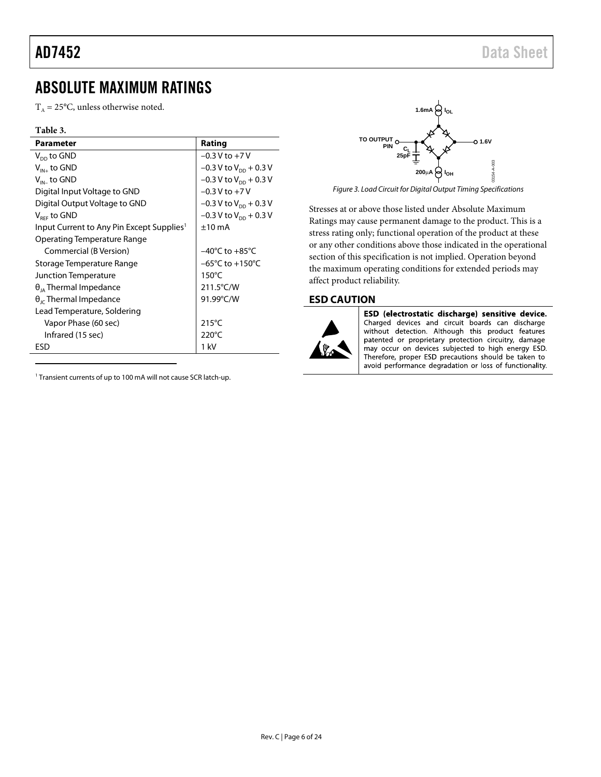## AD7452 Data Sheet

## <span id="page-5-0"></span>ABSOLUTE MAXIMUM RATINGS

 $T_A = 25$ °C, unless otherwise noted.

### **Table 3.**

ֺ

| <b>Parameter</b>                                      | Rating                              |
|-------------------------------------------------------|-------------------------------------|
| $V_{DD}$ to GND                                       | $-0.3 V$ to $+7 V$                  |
| $V_{IN+}$ to GND                                      | $-0.3$ V to V <sub>DD</sub> + 0.3 V |
| $V_{\text{IN}}$ to GND                                | $-0.3$ V to V <sub>pp</sub> + 0.3 V |
| Digital Input Voltage to GND                          | $-0.3$ V to $+7$ V                  |
| Digital Output Voltage to GND                         | $-0.3$ V to V <sub>pp</sub> + 0.3 V |
| $V_{\text{ref}}$ to GND                               | $-0.3$ V to V <sub>pp</sub> + 0.3 V |
| Input Current to Any Pin Except Supplies <sup>1</sup> | $±10$ mA                            |
| <b>Operating Temperature Range</b>                    |                                     |
| Commercial (B Version)                                | $-40^{\circ}$ C to $+85^{\circ}$ C  |
| Storage Temperature Range                             | $-65^{\circ}$ C to $+150^{\circ}$ C |
| Junction Temperature                                  | $150^{\circ}$ C                     |
| $\theta_{14}$ Thermal Impedance                       | $211.5^{\circ}$ C/W                 |
| $\theta_{\text{IC}}$ Thermal Impedance                | 91.99°C/W                           |
| Lead Temperature, Soldering                           |                                     |
| Vapor Phase (60 sec)                                  | $215^{\circ}$ C                     |
| Infrared (15 sec)                                     | $220^{\circ}$ C                     |
| ESD                                                   | 1 kV                                |

<sup>1</sup> Transient currents of up to 100 mA will not cause SCR latch-up.



*Figure 3. Load Circuit for Digital Output Timing Specifications*

<span id="page-5-2"></span>Stresses at or above those listed under Absolute Maximum Ratings may cause permanent damage to the product. This is a stress rating only; functional operation of the product at these or any other conditions above those indicated in the operational section of this specification is not implied. Operation beyond the maximum operating conditions for extended periods may affect product reliability.

### <span id="page-5-1"></span>**ESD CAUTION**



ESD (electrostatic discharge) sensitive device. Charged devices and circuit boards can discharge without detection. Although this product features patented or proprietary protection circuitry, damage may occur on devices subjected to high energy ESD. Therefore, proper ESD precautions should be taken to avoid performance degradation or loss of functionality.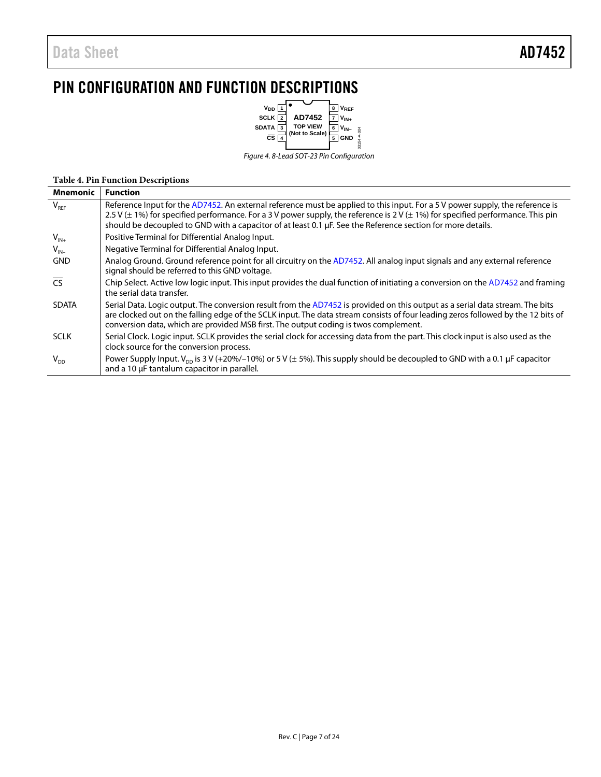## <span id="page-6-0"></span>PIN CONFIGURATION AND FUNCTION DESCRIPTIONS



*Figure 4. 8-Lead SOT-23 Pin Configuration*

### **Table 4. Pin Function Descriptions**

| <b>Mnemonic</b>          | <b>Function</b>                                                                                                                                                                                                                                                                                                                                                                           |
|--------------------------|-------------------------------------------------------------------------------------------------------------------------------------------------------------------------------------------------------------------------------------------------------------------------------------------------------------------------------------------------------------------------------------------|
| $V_{RF}$                 | Reference Input for the AD7452. An external reference must be applied to this input. For a 5 V power supply, the reference is<br>2.5 V ( $\pm$ 1%) for specified performance. For a 3 V power supply, the reference is 2 V ( $\pm$ 1%) for specified performance. This pin<br>should be decoupled to GND with a capacitor of at least 0.1 µF. See the Reference section for more details. |
| $V_{IN+}$                | Positive Terminal for Differential Analog Input.                                                                                                                                                                                                                                                                                                                                          |
| $V_{IN}$                 | Negative Terminal for Differential Analog Input.                                                                                                                                                                                                                                                                                                                                          |
| <b>GND</b>               | Analog Ground. Ground reference point for all circuitry on the AD7452. All analog input signals and any external reference<br>signal should be referred to this GND voltage.                                                                                                                                                                                                              |
| $\overline{\mathsf{CS}}$ | Chip Select. Active low logic input. This input provides the dual function of initiating a conversion on the AD7452 and framing<br>the serial data transfer.                                                                                                                                                                                                                              |
| <b>SDATA</b>             | Serial Data. Logic output. The conversion result from the AD7452 is provided on this output as a serial data stream. The bits<br>are clocked out on the falling edge of the SCLK input. The data stream consists of four leading zeros followed by the 12 bits of<br>conversion data, which are provided MSB first. The output coding is twos complement.                                 |
| <b>SCLK</b>              | Serial Clock. Logic input. SCLK provides the serial clock for accessing data from the part. This clock input is also used as the<br>clock source for the conversion process.                                                                                                                                                                                                              |
| $V_{DD}$                 | Power Supply Input. $V_{\text{pn}}$ is 3 V (+20%/-10%) or 5 V ( $\pm$ 5%). This supply should be decoupled to GND with a 0.1 µF capacitor<br>and a 10 µF tantalum capacitor in parallel.                                                                                                                                                                                                  |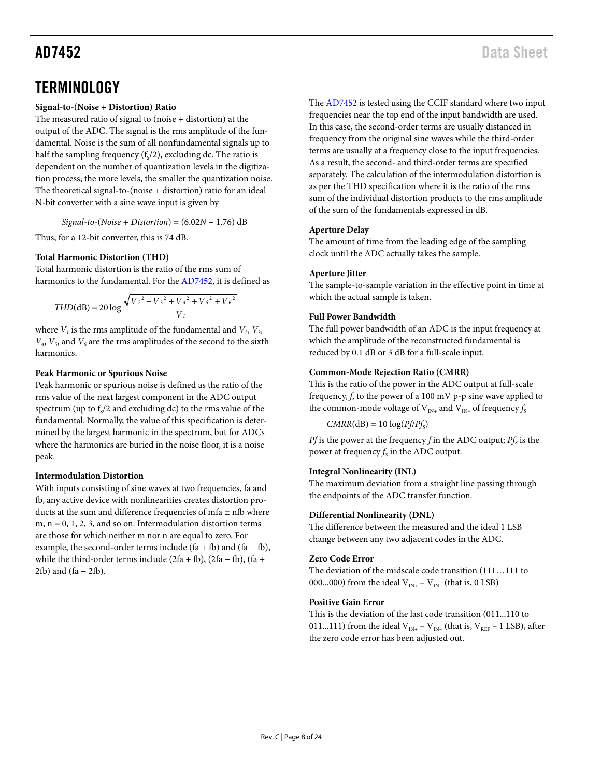## <span id="page-7-0"></span>**TERMINOLOGY**

### **Signal-to-(Noise + Distortion) Ratio**

The measured ratio of signal to (noise + distortion) at the output of the ADC. The signal is the rms amplitude of the fundamental. Noise is the sum of all nonfundamental signals up to half the sampling frequency  $(f_s/2)$ , excluding dc. The ratio is dependent on the number of quantization levels in the digitization process; the more levels, the smaller the quantization noise. The theoretical signal-to-(noise + distortion) ratio for an ideal N-bit converter with a sine wave input is given by

*Signal*-*to*-(*Noise + Distortion*) = (6.02*N* + 1.76) dB

Thus, for a 12-bit converter, this is 74 dB.

### **Total Harmonic Distortion (THD)**

Total harmonic distortion is the ratio of the rms sum of harmonics to the fundamental. For the [AD7452,](http://www.analog.com/ad7452?doc=ad7452.pdf) it is defined as

$$
THD(dB) = 20 \log \frac{\sqrt{V_2^2 + V_3^2 + V_4^2 + V_5^2 + V_6^2}}{V_1}
$$

where  $V_1$  is the rms amplitude of the fundamental and  $V_2$ ,  $V_3$ ,  $V_a$ ,  $V_5$ , and  $V_6$  are the rms amplitudes of the second to the sixth harmonics.

### **Peak Harmonic or Spurious Noise**

Peak harmonic or spurious noise is defined as the ratio of the rms value of the next largest component in the ADC output spectrum (up to  $f<sub>s</sub>/2$  and excluding dc) to the rms value of the fundamental. Normally, the value of this specification is determined by the largest harmonic in the spectrum, but for ADCs where the harmonics are buried in the noise floor, it is a noise peak.

### **Intermodulation Distortion**

With inputs consisting of sine waves at two frequencies, fa and fb, any active device with nonlinearities creates distortion products at the sum and difference frequencies of mfa ± nfb where m,  $n = 0, 1, 2, 3$ , and so on. Intermodulation distortion terms are those for which neither m nor n are equal to zero. For example, the second-order terms include  $(fa + fb)$  and  $(fa - fb)$ , while the third-order terms include  $(2fa + fb)$ ,  $(2fa - fb)$ ,  $(fa +$  $2fb$ ) and (fa –  $2fb$ ).

The [AD7452](http://www.analog.com/ad7452?doc=ad7452.pdf) is tested using the CCIF standard where two input frequencies near the top end of the input bandwidth are used. In this case, the second-order terms are usually distanced in frequency from the original sine waves while the third-order terms are usually at a frequency close to the input frequencies. As a result, the second- and third-order terms are specified separately. The calculation of the intermodulation distortion is as per the THD specification where it is the ratio of the rms sum of the individual distortion products to the rms amplitude of the sum of the fundamentals expressed in dB.

### **Aperture Delay**

The amount of time from the leading edge of the sampling clock until the ADC actually takes the sample.

### **Aperture Jitter**

The sample-to-sample variation in the effective point in time at which the actual sample is taken.

### **Full Power Bandwidth**

The full power bandwidth of an ADC is the input frequency at which the amplitude of the reconstructed fundamental is reduced by 0.1 dB or 3 dB for a full-scale input.

### **Common-Mode Rejection Ratio (CMRR)**

This is the ratio of the power in the ADC output at full-scale frequency, *f*, to the power of a 100 mV p-p sine wave applied to the common-mode voltage of  $V_{IN+}$  and  $V_{IN-}$  of frequency  $f_s$ 

 $CMRR(dB) = 10 log(Pf/Pf<sub>S</sub>)$ 

*Pf* is the power at the frequency *f* in the ADC output;  $Pf_s$  is the power at frequency  $f_s$  in the ADC output.

### **Integral Nonlinearity (INL)**

The maximum deviation from a straight line passing through the endpoints of the ADC transfer function.

### **Differential Nonlinearity (DNL)**

The difference between the measured and the ideal 1 LSB change between any two adjacent codes in the ADC.

### **Zero Code Error**

The deviation of the midscale code transition (111…111 to 000...000) from the ideal  $V_{IN^+} - V_{IN^-}$  (that is, 0 LSB)

### **Positive Gain Error**

This is the deviation of the last code transition (011...110 to 011...111) from the ideal  $V_{IN+} - V_{IN-}$  (that is,  $V_{REF} - 1$  LSB), after the zero code error has been adjusted out.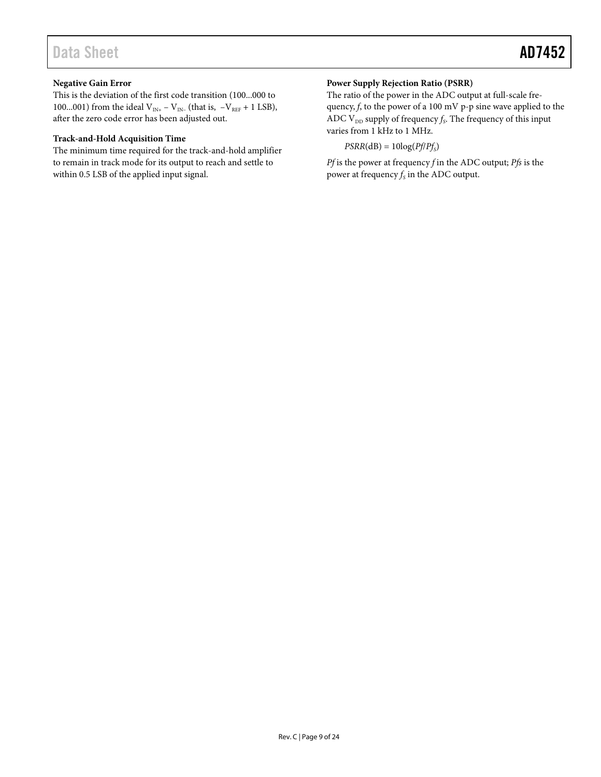### **Negative Gain Error**

This is the deviation of the first code transition (100...000 to 100...001) from the ideal V<sub>IN+</sub> – V<sub>IN-</sub> (that is,  $-V_{REF}$  + 1 LSB), after the zero code error has been adjusted out.

### **Track-and-Hold Acquisition Time**

The minimum time required for the track-and-hold amplifier to remain in track mode for its output to reach and settle to within 0.5 LSB of the applied input signal.

### **Power Supply Rejection Ratio (PSRR)**

The ratio of the power in the ADC output at full-scale frequency, *f*, to the power of a 100 mV p-p sine wave applied to the ADC  $V_{DD}$  supply of frequency  $f_S$ . The frequency of this input varies from 1 kHz to 1 MHz.

 $PSRR(dB) = 10log(Pf/Pf<sub>S</sub>)$ 

*Pf* is the power at frequency *f* in the ADC output; *Pfs* is the power at frequency  $f_S$  in the ADC output.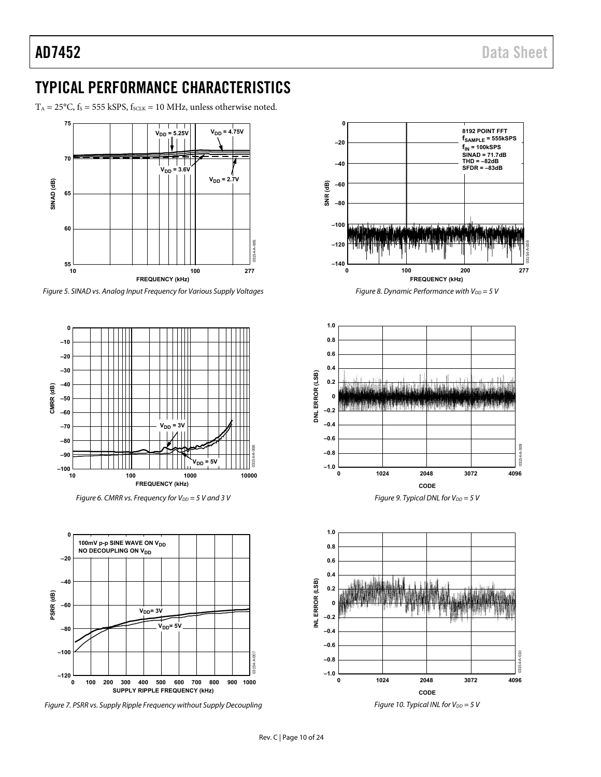## <span id="page-9-0"></span>TYPICAL PERFORMANCE CHARACTERISTICS

 $T_A = 25^{\circ}$ C,  $f_s = 555$  kSPS,  $f_{SCLK} = 10$  MHz, unless otherwise noted.



Figure 5. SINAD vs. Analog Input Frequency for Various Supply Voltages



Figure 6. CMRR vs. Frequency for  $V_{DD} = 5$  V and 3 V



Figure 7. PSRR vs. Supply Ripple Frequency without Supply Decoupling



Figure 8. Dynamic Performance with  $V_{DD} = 5$  V



Figure 9. Typical DNL for  $V_{DD} = 5 V$ 



Figure 10. Typical INL for  $V_{DD} = 5 V$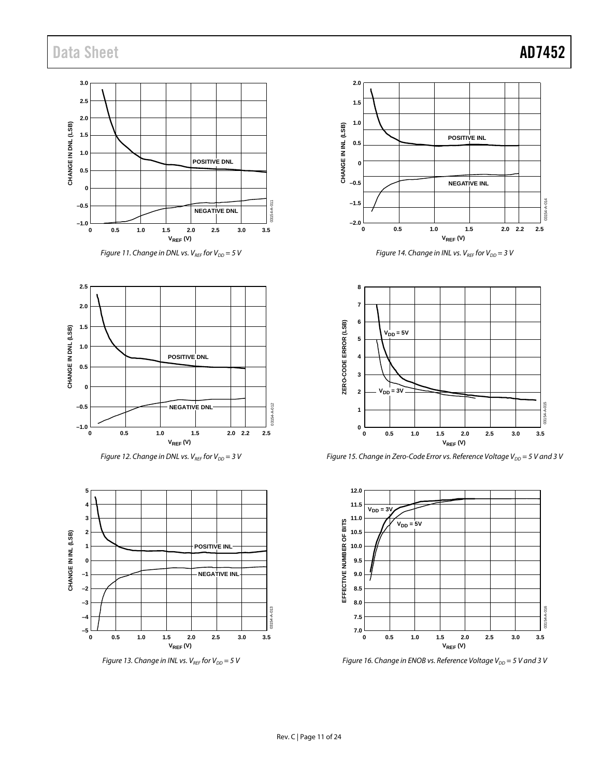



*Figure 12. Change in DNL vs.*  $V_{REF}$  for  $V_{DD} = 3$  V



*Figure 13. Change in INL vs.*  $V_{REF}$  for  $V_{DD} = 5$  V







*Figure 15. Change in Zero-Code Error vs. Reference Voltage V<sub>DD</sub> = 5 V and 3 V* 



*Figure 16. Change in ENOB vs. Reference Voltage V<sub>DD</sub>* = 5 V and 3 V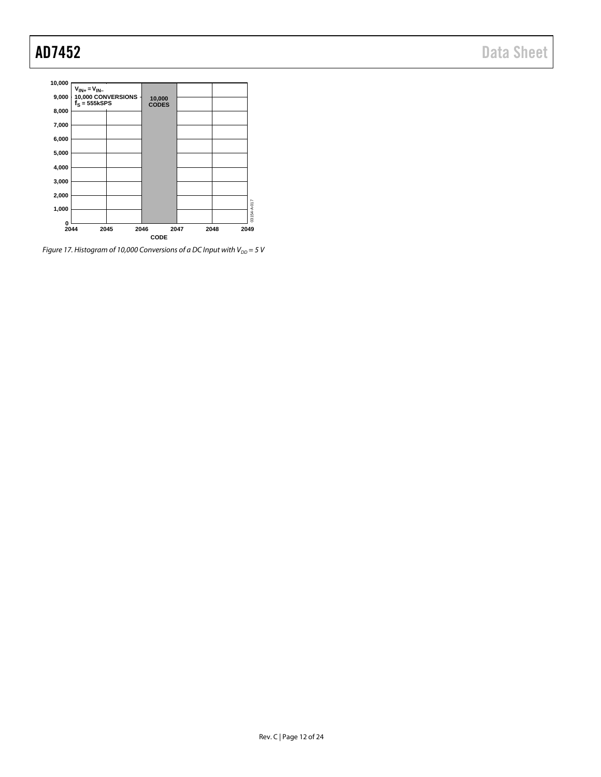

*Figure 17. Histogram of 10,000 Conversions of a DC Input with*  $V_{DD} = 5 V$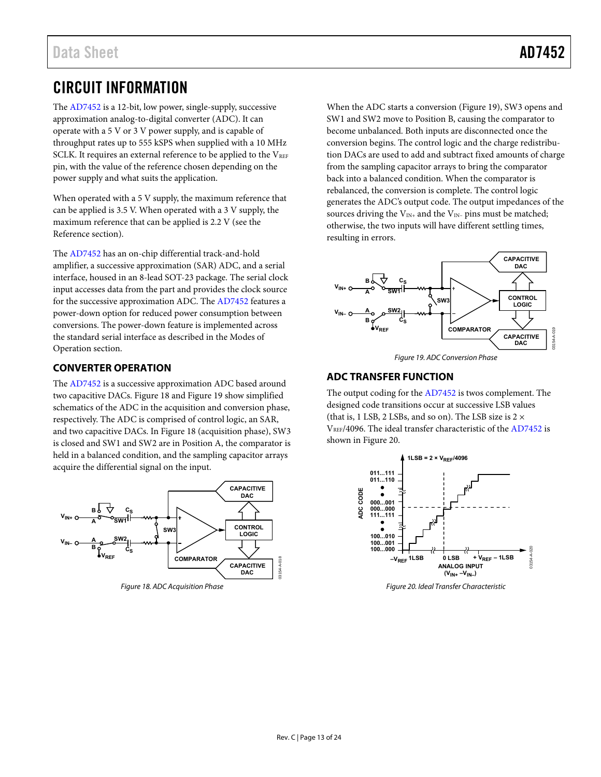## <span id="page-12-0"></span>CIRCUIT INFORMATION

The [AD7452 i](http://www.analog.com/ad7452?doc=ad7452.pdf)s a 12-bit, low power, single-supply, successive approximation analog-to-digital converter (ADC). It can operate with a 5 V or 3 V power supply, and is capable of throughput rates up to 555 kSPS when supplied with a 10 MHz SCLK. It requires an external reference to be applied to the  $V_{REF}$ pin, with the value of the reference chosen depending on the power supply and what suits the application.

When operated with a 5 V supply, the maximum reference that can be applied is 3.5 V. When operated with a 3 V supply, the maximum reference that can be applied is 2.2 V (see the [Reference s](#page-17-1)ection).

The [AD7452 h](http://www.analog.com/ad7452?doc=ad7452.pdf)as an on-chip differential track-and-hold amplifier, a successive approximation (SAR) ADC, and a serial interface, housed in an 8-lead SOT-23 package. The serial clock input accesses data from the part and provides the clock source for the successive approximation ADC. Th[e AD7452](http://www.analog.com/ad7452?doc=ad7452.pdf) features a power-down option for reduced power consumption between conversions. The power-down feature is implemented across the standard serial interface as described in the [Modes of](#page-19-0)  [Operation](#page-19-0) section.

### <span id="page-12-1"></span>**CONVERTER OPERATION**

The [AD7452 i](http://www.analog.com/ad7452?doc=ad7452.pdf)s a successive approximation ADC based around two capacitive DACs. [Figure 18 a](#page-12-3)n[d Figure 19](#page-12-4) show simplified schematics of the ADC in the acquisition and conversion phase, respectively. The ADC is comprised of control logic, an SAR, and two capacitive DACs. In [Figure 18 \(](#page-12-3)acquisition phase), SW3 is closed and SW1 and SW2 are in Position A, the comparator is held in a balanced condition, and the sampling capacitor arrays acquire the differential signal on the input.



<span id="page-12-3"></span>Figure 18. ADC Acquisition Phase

When the ADC starts a conversion [\(Figure 19\)](#page-12-4), SW3 opens and SW1 and SW2 move to Position B, causing the comparator to become unbalanced. Both inputs are disconnected once the conversion begins. The control logic and the charge redistribution DACs are used to add and subtract fixed amounts of charge from the sampling capacitor arrays to bring the comparator back into a balanced condition. When the comparator is rebalanced, the conversion is complete. The control logic generates the ADC's output code. The output impedances of the sources driving the  $V_{IN+}$  and the  $V_{IN-}$  pins must be matched; otherwise, the two inputs will have different settling times, resulting in errors.



Figure 19. ADC Conversion Phase

### <span id="page-12-4"></span><span id="page-12-2"></span>**ADC TRANSFER FUNCTION**

The output coding for the [AD7452 i](http://www.analog.com/ad7452?doc=ad7452.pdf)s twos complement. The designed code transitions occur at successive LSB values (that is, 1 LSB, 2 LSBs, and so on). The LSB size is  $2 \times$ VREF/4096. The ideal transfer characteristic of th[e AD7452 i](http://www.analog.com/ad7452?doc=ad7452.pdf)s shown in [Figure 20.](#page-12-5) 



<span id="page-12-5"></span>Figure 20. Ideal Transfer Characteristic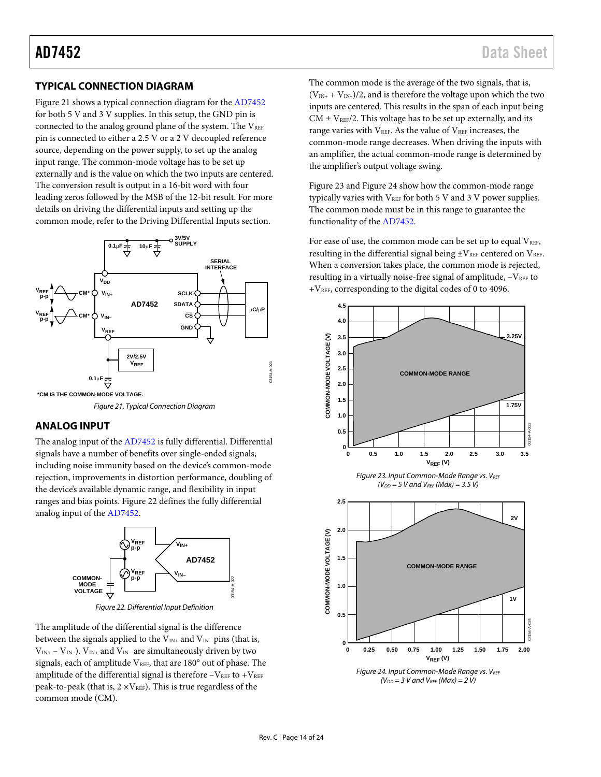### <span id="page-13-0"></span>**TYPICAL CONNECTION DIAGRAM**

[Figure 21 s](#page-13-4)hows a typical connection diagram for the [AD7452](http://www.analog.com/ad7452?doc=ad7452.pdf) for both 5 V and 3 V supplies. In this setup, the GND pin is connected to the analog ground plane of the system. The  $V_{REF}$ pin is connected to either a 2.5 V or a 2 V decoupled reference source, depending on the power supply, to set up the analog input range. The common-mode voltage has to be set up externally and is the value on which the two inputs are centered. The conversion result is output in a 16-bit word with four leading zeros followed by the MSB of the 12-bit result. For more details on driving the differential inputs and setting up the common mode, refer to th[e Driving Differential Inputs](#page-15-0) section.



<span id="page-13-4"></span>**\*CM IS THE COMMON-MODE VOLTAGE.**

Figure 21. Typical Connection Diagram

### <span id="page-13-1"></span>**ANALOG INPUT**

The analog input of th[e AD7452 i](http://www.analog.com/ad7452?doc=ad7452.pdf)s fully differential. Differential signals have a number of benefits over single-ended signals, including noise immunity based on the device's common-mode rejection, improvements in distortion performance, doubling of the device's available dynamic range, and flexibility in input ranges and bias points[. Figure 22](#page-13-5) defines the fully differential analog input of th[e AD7452.](http://www.analog.com/ad7452?doc=ad7452.pdf) 



Figure 22. Differential Input Definition

<span id="page-13-5"></span>The amplitude of the differential signal is the difference between the signals applied to the  $V_{IN+}$  and  $V_{IN-}$  pins (that is,  $V_{IN+} - V_{IN-}$ ).  $V_{IN+}$  and  $V_{IN-}$  are simultaneously driven by two signals, each of amplitude  $V_{REF}$ , that are 180 $^{\circ}$  out of phase. The amplitude of the differential signal is therefore  $-V_{REF}$  to  $+V_{REF}$ peak-to-peak (that is,  $2 \times V_{REF}$ ). This is true regardless of the common mode (CM).

The common mode is the average of the two signals, that is,  $(V_{IN+} + V_{IN-})/2$ , and is therefore the voltage upon which the two inputs are centered. This results in the span of each input being  $CM \pm V_{REF}/2$ . This voltage has to be set up externally, and its range varies with  $V<sub>REF</sub>$ . As the value of  $V<sub>REF</sub>$  increases, the common-mode range decreases. When driving the inputs with an amplifier, the actual common-mode range is determined by the amplifier's output voltage swing.

[Figure 23 a](#page-13-2)nd [Figure 24 s](#page-13-3)how how the common-mode range typically varies with  $V_{REF}$  for both 5 V and 3 V power supplies. The common mode must be in this range to guarantee the functionality of the [AD7452.](http://www.analog.com/ad7452?doc=ad7452.pdf) 

For ease of use, the common mode can be set up to equal  $V_{REF}$ , resulting in the differential signal being  $\pm V_{REF}$  centered on  $V_{REF}$ . When a conversion takes place, the common mode is rejected, resulting in a virtually noise-free signal of amplitude,  $-V_{REF}$  to +VREF, corresponding to the digital codes of 0 to 4096.

<span id="page-13-2"></span>

<span id="page-13-3"></span> $(V_{DD} = 3 V$  and  $V_{REF}$  (Max) = 2 V)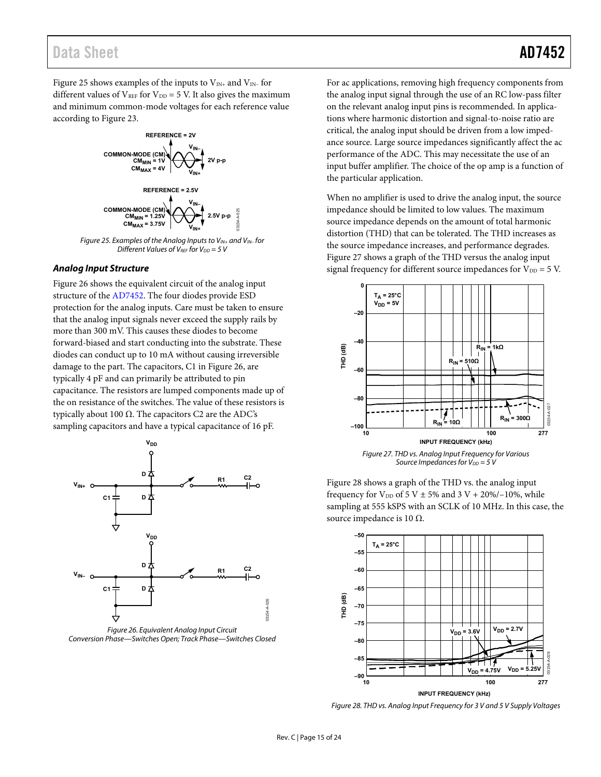## Data Sheet **AD7452**

[Figure 25 s](#page-14-0)hows examples of the inputs to  $V_{IN+}$  and  $V_{IN-}$  for different values of  $V_{REF}$  for  $V_{DD} = 5$  V. It also gives the maximum and minimum common-mode voltages for each reference value according t[o Figure 23.](#page-13-2)



<span id="page-14-0"></span>Figure 25. Examples of the Analog Inputs to  $V_{IN+}$  and  $V_{IN-}$  for Different Values of VREF for  $V_{DD} = 5$  V

### **Analog Input Structure**

[Figure 26 s](#page-14-1)hows the equivalent circuit of the analog input structure of th[e AD7452.](http://www.analog.com/ad7452?doc=ad7452.pdf) The four diodes provide ESD protection for the analog inputs. Care must be taken to ensure that the analog input signals never exceed the supply rails by more than 300 mV. This causes these diodes to become forward-biased and start conducting into the substrate. These diodes can conduct up to 10 mA without causing irreversible damage to the part. The capacitors, C1 in [Figure 26,](#page-14-1) are typically 4 pF and can primarily be attributed to pin capacitance. The resistors are lumped components made up of the on resistance of the switches. The value of these resistors is typically about 100 Ω. The capacitors C2 are the ADC's sampling capacitors and have a typical capacitance of 16 pF.



<span id="page-14-1"></span>Figure 26. Equivalent Analog Input Circuit Conversion Phase—Switches Open; Track Phase—Switches Closed

For ac applications, removing high frequency components from the analog input signal through the use of an RC low-pass filter on the relevant analog input pins is recommended. In applications where harmonic distortion and signal-to-noise ratio are critical, the analog input should be driven from a low impedance source. Large source impedances significantly affect the ac performance of the ADC. This may necessitate the use of an input buffer amplifier. The choice of the op amp is a function of the particular application.

When no amplifier is used to drive the analog input, the source impedance should be limited to low values. The maximum source impedance depends on the amount of total harmonic distortion (THD) that can be tolerated. The THD increases as the source impedance increases, and performance degrades. [Figure 27 s](#page-14-2)hows a graph of the THD versus the analog input signal frequency for different source impedances for  $V_{DD} = 5$  V.



<span id="page-14-2"></span>[Figure 28 s](#page-14-3)hows a graph of the THD vs. the analog input frequency for  $V_{DD}$  of 5 V  $\pm$  5% and 3 V + 20%/–10%, while sampling at 555 kSPS with an SCLK of 10 MHz. In this case, the source impedance is 10 Ω.



<span id="page-14-3"></span>Figure 28. THD vs. Analog Input Frequency for 3 V and 5 V Supply Voltages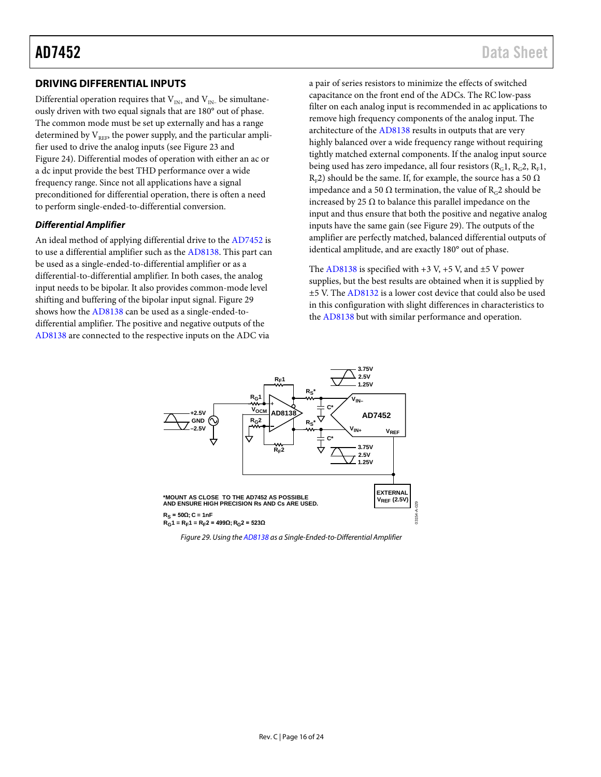### <span id="page-15-0"></span>**DRIVING DIFFERENTIAL INPUTS**

Differential operation requires that  $V_{IN+}$  and  $V_{IN-}$  be simultaneously driven with two equal signals that are 180° out of phase. The common mode must be set up externally and has a range determined by  $V_{REF}$ , the power supply, and the particular amplifier used to drive the analog inputs (see [Figure 23](#page-13-2) and [Figure](#page-13-3) 24). Differential modes of operation with either an ac or a dc input provide the best THD performance over a wide frequency range. Since not all applications have a signal preconditioned for differential operation, there is often a need to perform single-ended-to-differential conversion.

### *Differential Amplifier*

An ideal method of applying differential drive to the [AD7452](http://www.analog.com/ad7452?doc=ad7452.pdf) is to use a differential amplifier such as th[e AD8138.](http://www.analog.com/ad8138?doc=ad7452.pdf) This part can be used as a single-ended-to-differential amplifier or as a differential-to-differential amplifier. In both cases, the analog input needs to be bipolar. It also provides common-mode level shifting and buffering of the bipolar input signal. [Figure 29](#page-15-1) shows how the [AD8138](http://www.analog.com/ad8138?doc=ad7452.pdf) can be used as a single-ended-todifferential amplifier. The positive and negative outputs of the [AD8138](http://www.analog.com/ad8138?doc=ad7452.pdf) are connected to the respective inputs on the ADC via

a pair of series resistors to minimize the effects of switched capacitance on the front end of the ADCs. The RC low-pass filter on each analog input is recommended in ac applications to remove high frequency components of the analog input. The architecture of the [AD8138](http://www.analog.com/ad8138?doc=ad7452.pdf) results in outputs that are very highly balanced over a wide frequency range without requiring tightly matched external components. If the analog input source being used has zero impedance, all four resistors  $(R_G1, R_G2, R_F1,$  $R_{F2}$ ) should be the same. If, for example, the source has a 50  $\Omega$ impedance and a 50 Ω termination, the value of R<sub>α</sub>2 should be increased by 25  $\Omega$  to balance this parallel impedance on the input and thus ensure that both the positive and negative analog inputs have the same gain (see [Figure 29\)](#page-15-1). The outputs of the amplifier are perfectly matched, balanced differential outputs of identical amplitude, and are exactly 180° out of phase.

The  $AD8138$  is specified with  $+3$  V,  $+5$  V, and  $\pm 5$  V power supplies, but the best results are obtained when it is supplied by ±5 V. The [AD8132](http://www.analog.com/ad8132?doc=ad7452.pdf) is a lower cost device that could also be used in this configuration with slight differences in characteristics to the [AD8138](http://www.analog.com/ad8138?doc=ad7452.pdf) but with similar performance and operation.



<span id="page-15-1"></span>*Figure 29. Using th[e AD8138](http://www.analog.com/ad8138?doc=ad7452.pdf) as a Single-Ended-to-Differential Amplifier*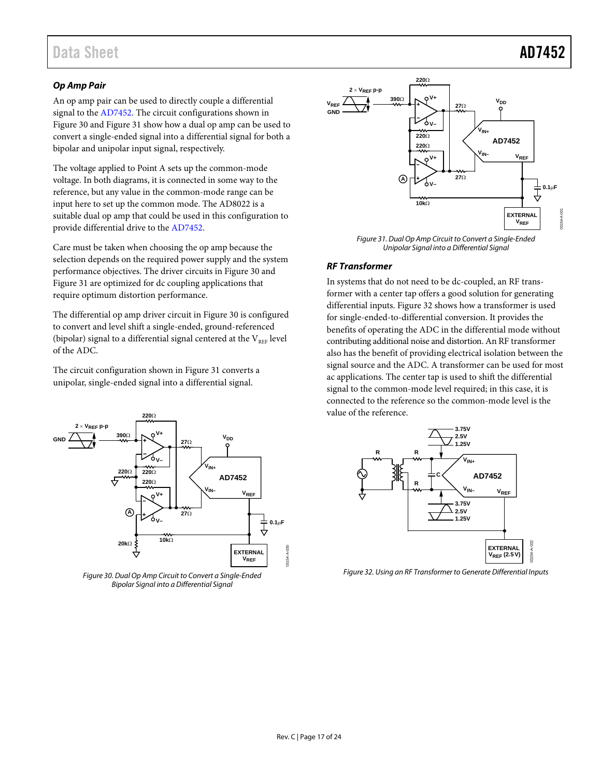## Data Sheet **AD7452**

### *Op Amp Pair*

An op amp pair can be used to directly couple a differential signal to th[e AD7452.](http://www.analog.com/ad7452?doc=ad7452.pdf) The circuit configurations shown in [Figure 30](#page-16-0) an[d Figure 31](#page-16-1) show how a dual op amp can be used to convert a single-ended signal into a differential signal for both a bipolar and unipolar input signal, respectively.

The voltage applied to Point A sets up the common-mode voltage. In both diagrams, it is connected in some way to the reference, but any value in the common-mode range can be input here to set up the common mode. The AD8022 is a suitable dual op amp that could be used in this configuration to provide differential drive to th[e AD7452.](http://www.analog.com/ad7452?doc=ad7452.pdf)

Care must be taken when choosing the op amp because the selection depends on the required power supply and the system performance objectives. The driver circuits in [Figure 30](#page-16-0) and [Figure 31](#page-16-1) are optimized for dc coupling applications that require optimum distortion performance.

The differential op amp driver circuit i[n Figure 30](#page-16-0) is configured to convert and level shift a single-ended, ground-referenced (bipolar) signal to a differential signal centered at the  $V_{REF}$  level of the ADC.

The circuit configuration shown i[n Figure 31](#page-16-1) converts a unipolar, single-ended signal into a differential signal.



<span id="page-16-0"></span>*Figure 30. Dual Op Amp Circuit to Convert a Single-Ended Bipolar Signal into a Differential Signal*



*Figure 31. Dual Op Amp Circuit to Convert a Single-Ended Unipolar Signal into a Differential Signal*

### <span id="page-16-1"></span>*RF Transformer*

In systems that do not need to be dc-coupled, an RF transformer with a center tap offers a good solution for generating differential inputs. [Figure 32](#page-16-2) shows how a transformer is used for single-ended-to-differential conversion. It provides the benefits of operating the ADC in the differential mode without contributing additional noise and distortion. An RF transformer also has the benefit of providing electrical isolation between the signal source and the ADC. A transformer can be used for most ac applications. The center tap is used to shift the differential signal to the common-mode level required; in this case, it is connected to the reference so the common-mode level is the value of the reference.



<span id="page-16-2"></span>*Figure 32. Using an RF Transformer to Generate Differential Inputs*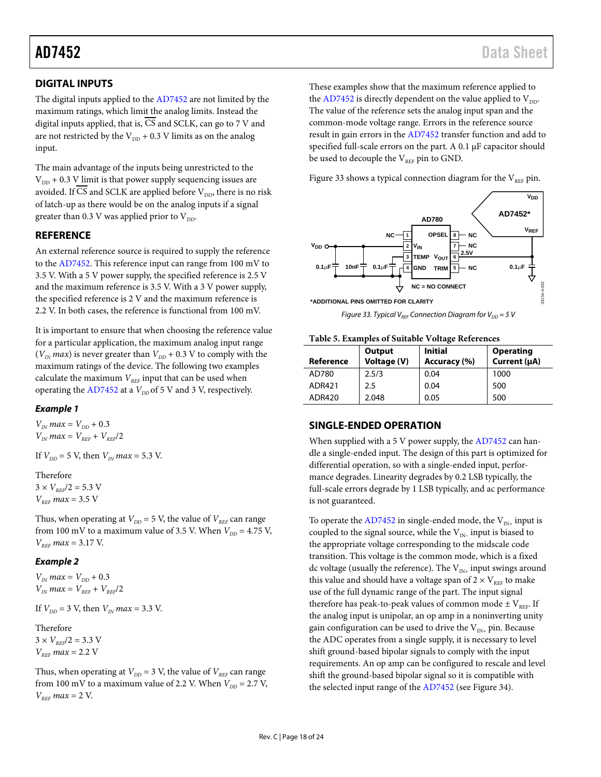### <span id="page-17-0"></span>**DIGITAL INPUTS**

The digital inputs applied to the [AD7452](http://www.analog.com/ad7452?doc=ad7452.pdf) are not limited by the maximum ratings, which limit the analog limits. Instead the digital inputs applied, that is,  $\overline{CS}$  and SCLK, can go to 7 V and are not restricted by the  $V_{DD}$  + 0.3 V limits as on the analog input.

The main advantage of the inputs being unrestricted to the  $V_{DD}$  + 0.3 V limit is that power supply sequencing issues are avoided. If CS and SCLK are applied before  $V_{DD}$ , there is no risk of latch-up as there would be on the analog inputs if a signal greater than 0.3 V was applied prior to  $V_{DD}$ .

### <span id="page-17-1"></span>**REFERENCE**

An external reference source is required to supply the reference to the [AD7452.](http://www.analog.com/ad7452?doc=ad7452.pdf) This reference input can range from 100 mV to 3.5 V. With a 5 V power supply, the specified reference is 2.5 V and the maximum reference is 3.5 V. With a 3 V power supply, the specified reference is 2 V and the maximum reference is 2.2 V. In both cases, the reference is functional from 100 mV.

It is important to ensure that when choosing the reference value for a particular application, the maximum analog input range  $(V_{IN}$  *max*) is never greater than  $V_{DD}$  + 0.3 V to comply with the maximum ratings of the device. The following two examples calculate the maximum  $V_{REF}$  input that can be used when operating the  $AD7452$  at a  $V_{DD}$  of 5 V and 3 V, respectively.

### *Example 1*

 $V_{IN}$  *max* =  $V_{DD}$  + 0.3  $V_{IN}$ *max* =  $V_{REF}$  +  $V_{REF}/2$ 

If  $V_{DD} = 5$  V, then  $V_{IN}$  *max* = 5.3 V.

### Therefore

 $3 \times V_{\text{REF}}/2 = 5.3 \text{ V}$  $V_{BFE}$  *max* = 3.5 V

Thus, when operating at  $V_{DD} = 5$  V, the value of  $V_{REF}$  can range from 100 mV to a maximum value of 3.5 V. When  $V_{DD} = 4.75$  V,  $V_{REF}$  *max* = 3.17 V.

### *Example 2*

 $V_{IN}$  *max* =  $V_{DD}$  + 0.3  $V_{IN}$  *max* =  $V_{REF}$  +  $V_{REF}/2$ 

If  $V_{DD} = 3$  V, then  $V_{IN}$  *max* = 3.3 V.

### Therefore

 $3 \times V_{REF}/2 = 3.3 \text{ V}$  $V_{REF}$  *max* = 2.2 V

Thus, when operating at  $V_{DD} = 3$  V, the value of  $V_{REF}$  can range from 100 mV to a maximum value of 2.2 V. When  $V_{DD} = 2.7$  V,  $V_{REF}$  *max* = 2 V.

These examples show that the maximum reference applied to the [AD7452](http://www.analog.com/ad7452?doc=ad7452.pdf) is directly dependent on the value applied to  $V_{DD}$ . The value of the reference sets the analog input span and the common-mode voltage range. Errors in the reference source result in gain errors in th[e AD7452](http://www.analog.com/ad7452?doc=ad7452.pdf) transfer function and add to specified full-scale errors on the part. A 0.1 µF capacitor should be used to decouple the  $V_{REF}$  pin to GND.

[Figure 33](#page-17-3) shows a typical connection diagram for the  $V_{REF}$  pin.



*Figure 33. Typical V<sub>REF</sub> Connection Diagram for V<sub>DD</sub> = 5 V* 

<span id="page-17-3"></span>**Table 5. Examples of Suitable Voltage References**

| Reference | Output<br>Voltage (V) | <b>Initial</b><br>Accuracy (%) | <b>Operating</b><br>Current (µA) |
|-----------|-----------------------|--------------------------------|----------------------------------|
| AD780     | 2.5/3                 | 0.04                           | 1000                             |
| ADR421    | 2.5                   | 0.04                           | 500                              |
| ADR420    | 2.048                 | 0.05                           | 500                              |

### <span id="page-17-2"></span>**SINGLE-ENDED OPERATION**

When supplied with a 5 V power supply, th[e AD7452](http://www.analog.com/ad7452?doc=ad7452.pdf) can handle a single-ended input. The design of this part is optimized for differential operation, so with a single-ended input, performance degrades. Linearity degrades by 0.2 LSB typically, the full-scale errors degrade by 1 LSB typically, and ac performance is not guaranteed.

To operate th[e AD7452](http://www.analog.com/ad7452?doc=ad7452.pdf) in single-ended mode, the  $V_{IN+}$  input is coupled to the signal source, while the  $V_{IN-}$  input is biased to the appropriate voltage corresponding to the midscale code transition. This voltage is the common mode, which is a fixed dc voltage (usually the reference). The  $V_{N+}$  input swings around this value and should have a voltage span of  $2 \times V_{REF}$  to make use of the full dynamic range of the part. The input signal therefore has peak-to-peak values of common mode  $\pm$  V<sub>REF</sub>. If the analog input is unipolar, an op amp in a noninverting unity gain configuration can be used to drive the  $V_{IN+}$  pin. Because the ADC operates from a single supply, it is necessary to level shift ground-based bipolar signals to comply with the input requirements. An op amp can be configured to rescale and level shift the ground-based bipolar signal so it is compatible with the selected input range of the [AD7452](http://www.analog.com/ad7452?doc=ad7452.pdf) (see [Figure](#page-18-1) 34).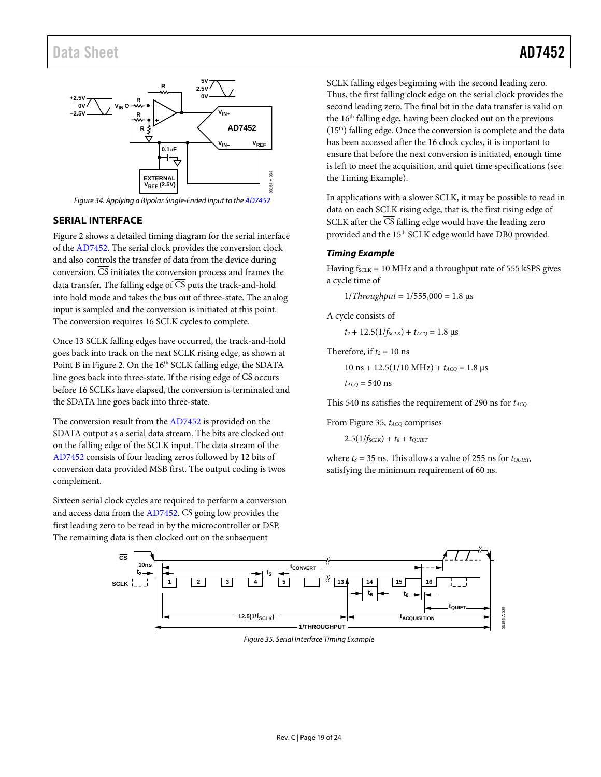

Figure 34. Applying a Bipolar Single-Ended Input to th[e AD7452](http://www.analog.com/ad7452?doc=ad7452.pdf)

### <span id="page-18-1"></span><span id="page-18-0"></span>**SERIAL INTERFACE**

[Figure 2](#page-4-1) shows a detailed timing diagram for the serial interface of the [AD7452.](http://www.analog.com/ad7452?doc=ad7452.pdf) The serial clock provides the conversion clock and also controls the transfer of data from the device during conversion. CS initiates the conversion process and frames the data transfer. The falling edge of CS puts the track-and-hold into hold mode and takes the bus out of three-state. The analog input is sampled and the conversion is initiated at this point. The conversion requires 16 SCLK cycles to complete.

Once 13 SCLK falling edges have occurred, the track-and-hold goes back into track on the next SCLK rising edge, as shown at Point B in [Figure 2.](#page-4-1) On the 16<sup>th</sup> SCLK falling edge, the SDATA line goes back into three-state. If the rising edge of  $\overline{\text{CS}}$  occurs before 16 SCLKs have elapsed, the conversion is terminated and the SDATA line goes back into three-state.

The conversion result from the [AD7452](http://www.analog.com/ad7452?doc=ad7452.pdf) is provided on the SDATA output as a serial data stream. The bits are clocked out on the falling edge of the SCLK input. The data stream of the [AD7452 c](http://www.analog.com/ad7452?doc=ad7452.pdf)onsists of four leading zeros followed by 12 bits of conversion data provided MSB first. The output coding is twos complement.

Sixteen serial clock cycles are required to perform a conversion and access data from th[e AD7452.](http://www.analog.com/ad7452?doc=ad7452.pdf)  $\overline{CS}$  going low provides the first leading zero to be read in by the microcontroller or DSP. The remaining data is then clocked out on the subsequent

SCLK falling edges beginning with the second leading zero. Thus, the first falling clock edge on the serial clock provides the second leading zero. The final bit in the data transfer is valid on the 16<sup>th</sup> falling edge, having been clocked out on the previous  $(15<sup>th</sup>)$  falling edge. Once the conversion is complete and the data has been accessed after the 16 clock cycles, it is important to ensure that before the next conversion is initiated, enough time is left to meet the acquisition, and quiet time specifications (see the Timing Example).

In [applications with a](#page-18-2) slower SCLK, it may be possible to read in data on each SCLK rising edge, that is, the first rising edge of SCLK after the  $\overline{\text{CS}}$  falling edge would have the leading zero provided and the 15<sup>th</sup> SCLK edge would have DB0 provided.

### **Timing Example**

<span id="page-18-2"></span>Having  $f_{SCLK} = 10$  MHz and a throughput rate of 555 kSPS gives a cycle time of

 $1/T$ *hroughput* =  $1/555,000$  = 1.8 μs

A cycle consists of

$$
t_2 + 12.5(1/f_{SCLK}) + t_{ACQ} = 1.8 \text{ }\mu\text{s}
$$

Therefore, if  $t_2 = 10$  ns

 $10 \text{ ns} + 12.5(1/10 \text{ MHz}) + t_{ACQ} = 1.8 \text{ }\mu\text{s}$ 

 $t_{ACQ}$  = 540 ns

This 540 ns satisfies the requirement of 290 ns for  $t_{ACQ}$ .

From Figure 35,  $t_{ACQ}$  comprises

 $2.5(1/f_{SCLK}) + t_8 + t_{OUET}$  $2.5(1/f_{SCLK}) + t_8 + t_{OUET}$ 

where  $t_8 = 35$  ns. This allows a value of 255 ns for  $t_{\text{OUIET}}$ , satisfying the minimum requirement of 60 ns.

<span id="page-18-3"></span>

Figure 35. Serial Interface Timing Example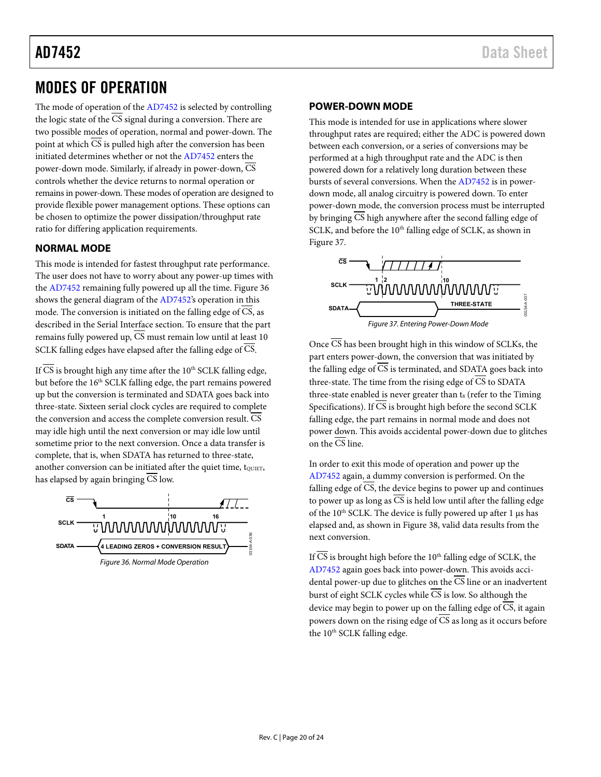## <span id="page-19-0"></span>MODES OF OPERATION

The mode of operation of th[e AD7452](http://www.analog.com/ad7452?doc=ad7452.pdf) is selected by controlling the logic state of the  $\overline{CS}$  signal during a conversion. There are two possible modes of operation, normal and power-down. The point at which CS is pulled high after the conversion has been initiated determines whether or not th[e AD7452](http://www.analog.com/ad7452?doc=ad7452.pdf) enters the power-down mode. Similarly, if already in power-down,  $\overline{\text{CS}}$ controls whether the device returns to normal operation or remains in power-down. These modes of operation are designed to provide flexible power management options. These options can be chosen to optimize the power dissipation/throughput rate ratio for differing application requirements.

### <span id="page-19-1"></span>**NORMAL MODE**

This mode is intended for fastest throughput rate performance. The user does not have to worry about any power-up times with the [AD7452](http://www.analog.com/ad7452?doc=ad7452.pdf) remaining fully powered up all the time[. Figure 36](#page-19-3)  shows the general diagram of the [AD7452's](http://www.analog.com/ad7452?doc=ad7452.pdf) operation in this mode. The conversion is initiated on the falling edge of CS, as described in the [Serial Interface](#page-18-0) section. To ensure that the part remains fully powered up,  $\overline{CS}$  must remain low until at least 10 SCLK falling edges have elapsed after the falling edge of  $\overline{\text{CS}}$ .

If CS is brought high any time after the  $10<sup>th</sup>$  SCLK falling edge, but before the 16<sup>th</sup> SCLK falling edge, the part remains powered up but the conversion is terminated and SDATA goes back into three-state. Sixteen serial clock cycles are required to complete the conversion and access the complete conversion result. CS may idle high until the next conversion or may idle low until sometime prior to the next conversion. Once a data transfer is complete, that is, when SDATA has returned to three-state, another conversion can be initiated after the quiet time, to UIET, has elapsed by again bringing CS low.

<span id="page-19-3"></span>

### <span id="page-19-2"></span>**POWER-DOWN MODE**

This mode is intended for use in applications where slower throughput rates are required; either the ADC is powered down between each conversion, or a series of conversions may be performed at a high throughput rate and the ADC is then powered down for a relatively long duration between these bursts of several conversions. When the [AD7452](http://www.analog.com/ad7452?doc=ad7452.pdf) is in powerdown mode, all analog circuitry is powered down. To enter power-down mode, the conversion process must be interrupted by bringing  $\overline{CS}$  high anywhere after the second falling edge of SCLK, and before the 10<sup>th</sup> falling edge of SCLK, as shown in [Figure 37.](#page-19-4) 



<span id="page-19-4"></span>Once  $\overline{\text{CS}}$  has been brought high in this window of SCLKs, the part enters power-down, the conversion that was initiated by the falling edge of  $\overline{CS}$  is terminated, and SDATA goes back into three-state. The time from the rising edge of  $\overline{CS}$  to SDATA three-state enabled is never greater than t<sub>8</sub> (refer to the Timing [Specifications\)](#page-4-0). If  $\overline{CS}$  is brought high before the second SCLK falling edge, the part remains in normal mode and does not power down. This avoids accidental power-down due to glitches on the CS line.

In order to exit this mode of operation and power up the [AD7452 a](http://www.analog.com/ad7452?doc=ad7452.pdf)gain, a dummy conversion is performed. On the falling edge of  $\overline{CS}$ , the device begins to power up and continues to power up as long as  $\overline{CS}$  is held low until after the falling edge of the 10<sup>th</sup> SCLK. The device is fully powered up after 1 μs has elapsed and, as shown i[n Figure 38,](#page-20-1) valid data results from the next conversion.

If CS is brought high before the  $10<sup>th</sup>$  falling edge of SCLK, the [AD7452 a](http://www.analog.com/ad7452?doc=ad7452.pdf)gain goes back into power-down. This avoids accidental power-up due to glitches on the  $\overline{CS}$  line or an inadvertent burst of eight SCLK cycles while  $\overline{CS}$  is low. So although the device may begin to power up on the falling edge of  $\overline{CS}$ , it again powers down on the rising edge of  $\overline{CS}$  as long as it occurs before the 10<sup>th</sup> SCLK falling edge.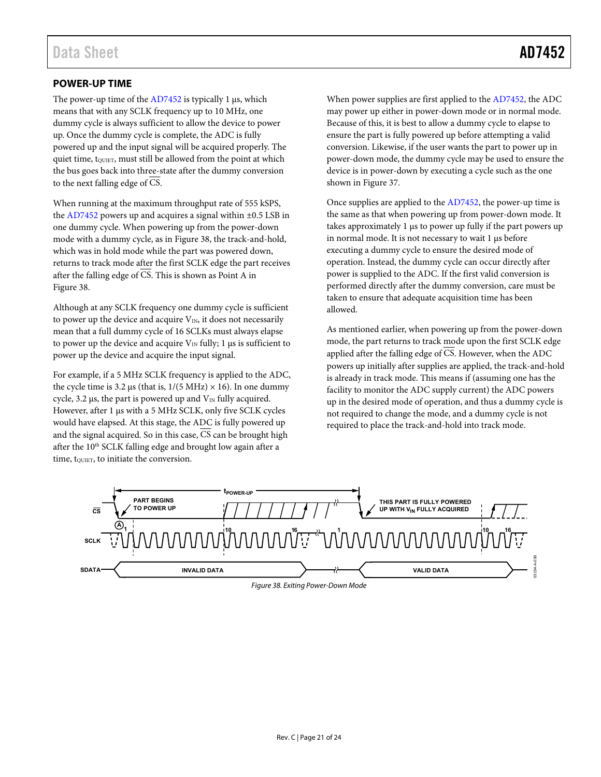<span id="page-20-0"></span>The power-up time of the  $AD7452$  is typically 1  $\mu$ s, which means that with any SCLK frequency up to 10 MHz, one dummy cycle is always sufficient to allow the device to power up. Once the dummy cycle is complete, the ADC is fully powered up and the input signal will be acquired properly. The quiet time, to the rust still be allowed from the point at which the bus goes back into three-state after the dummy conversion to the next falling edge of CS.

When running at the maximum throughput rate of 555 kSPS, the [AD7452](http://www.analog.com/ad7452?doc=ad7452.pdf) powers up and acquires a signal within ±0.5 LSB in one dummy cycle. When powering up from the power-down mode with a dummy cycle, as in [Figure 38,](#page-20-1) the track-and-hold, which was in hold mode while the part was powered down, returns to track mode after the first SCLK edge the part receives after the falling edge of  $\overline{CS}$ . This is shown as Point A in [Figure 38.](#page-20-1) 

Although at any SCLK frequency one dummy cycle is sufficient to power up the device and acquire  $V_{IN}$ , it does not necessarily mean that a full dummy cycle of 16 SCLKs must always elapse to power up the device and acquire  $V_{\text{IN}}$  fully; 1 μs is sufficient to power up the device and acquire the input signal.

For example, if a 5 MHz SCLK frequency is applied to the ADC, the cycle time is 3.2 μs (that is,  $1/(5 \text{ MHz}) \times 16$ ). In one dummy cycle, 3.2 μs, the part is powered up and  $V_{\text{IN}}$  fully acquired. However, after 1 μs with a 5 MHz SCLK, only five SCLK cycles would have elapsed. At this stage, the ADC is fully powered up and the signal acquired. So in this case, CS can be brought high after the 10<sup>th</sup> SCLK falling edge and brought low again after a time, tourer, to initiate the conversion.

When power supplies are first applied to th[e AD7452,](http://www.analog.com/ad7452?doc=ad7452.pdf) the ADC may power up either in power-down mode or in normal mode. Because of this, it is best to allow a dummy cycle to elapse to ensure the part is fully powered up before attempting a valid conversion. Likewise, if the user wants the part to power up in power-down mode, the dummy cycle may be used to ensure the device is in power-down by executing a cycle such as the one shown in [Figure 37.](#page-19-4) 

Once supplies are applied to the [AD7452,](http://www.analog.com/ad7452?doc=ad7452.pdf) the power-up time is the same as that when powering up from power-down mode. It takes approximately 1 μs to power up fully if the part powers up in normal mode. It is not necessary to wait 1 μs before executing a dummy cycle to ensure the desired mode of operation. Instead, the dummy cycle can occur directly after power is supplied to the ADC. If the first valid conversion is performed directly after the dummy conversion, care must be taken to ensure that adequate acquisition time has been allowed.

As mentioned earlier, when powering up from the power-down mode, the part returns to track mode upon the first SCLK edge applied after the falling edge of CS. However, when the ADC powers up initially after supplies are applied, the track-and-hold is already in track mode. This means if (assuming one has the facility to monitor the ADC supply current) the ADC powers up in the desired mode of operation, and thus a dummy cycle is not required to change the mode, and a dummy cycle is not required to place the track-and-hold into track mode.

<span id="page-20-1"></span>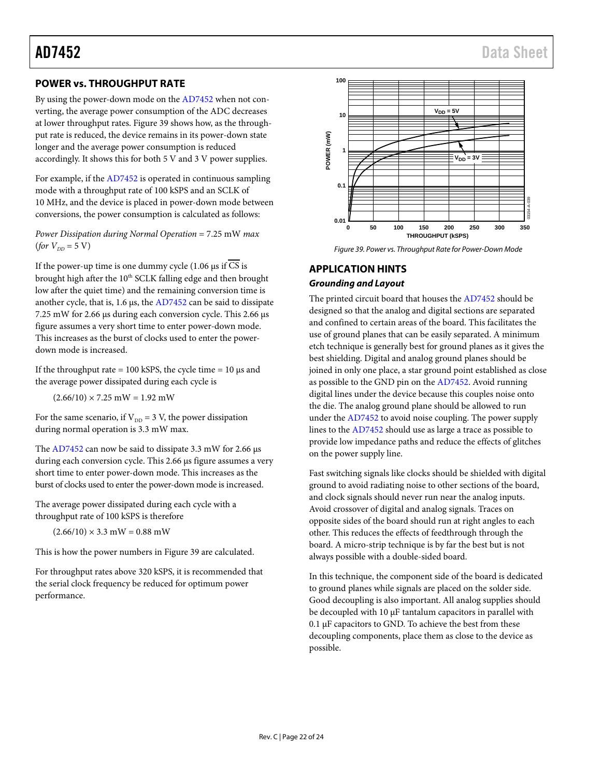### <span id="page-21-0"></span>**POWER vs. THROUGHPUT RATE**

By using the power-down mode on th[e AD7452](http://www.analog.com/ad7452?doc=ad7452.pdf) when not converting, the average power consumption of the ADC decreases at lower throughput rates. [Figure 39](#page-21-2) shows how, as the throughput rate is reduced, the device remains in its power-down state longer and the average power consumption is reduced accordingly. It shows this for both 5 V and 3 V power supplies.

For example, if the [AD7452](http://www.analog.com/ad7452?doc=ad7452.pdf) is operated in continuous sampling mode with a throughput rate of 100 kSPS and an SCLK of 10 MHz, and the device is placed in power-down mode between conversions, the power consumption is calculated as follows:

*Power Dissipation during Normal Operation* = 7.25 mW *max*  $(for V_{DD} = 5 V)$ 

If the power-up time is one dummy cycle (1.06  $\mu$ s if  $\overline{CS}$  is brought high after the 10<sup>th</sup> SCLK falling edge and then brought low after the quiet time) and the remaining conversion time is another cycle, that is, 1.6 µs, th[e AD7452](http://www.analog.com/ad7452?doc=ad7452.pdf) can be said to dissipate 7.25 mW for 2.66 µs during each conversion cycle. This 2.66 µs figure assumes a very short time to enter power-down mode. This increases as the burst of clocks used to enter the powerdown mode is increased.

If the throughput rate = 100 kSPS, the cycle time =  $10 \mu s$  and the average power dissipated during each cycle is

 $(2.66/10) \times 7.25$  mW = 1.92 mW

For the same scenario, if  $V_{DD} = 3$  V, the power dissipation during normal operation is 3.3 mW max.

The [AD7452](http://www.analog.com/ad7452?doc=ad7452.pdf) can now be said to dissipate 3.3 mW for 2.66  $\mu$ s during each conversion cycle. This 2.66 µs figure assumes a very short time to enter power-down mode. This increases as the burst of clocks used to enter the power-down mode is increased.

The average power dissipated during each cycle with a throughput rate of 100 kSPS is therefore

 $(2.66/10) \times 3.3$  mW = 0.88 mW

This is how the power numbers i[n Figure 39](#page-21-2) are calculated.

For throughput rates above 320 kSPS, it is recommended that the serial clock frequency be reduced for optimum power performance.



*Figure 39. Power vs. Throughput Rate for Power-Down Mode*

### <span id="page-21-2"></span><span id="page-21-1"></span>**APPLICATION HINTS**

### *Grounding and Layout*

The printed circuit board that houses th[e AD7452](http://www.analog.com/ad7452?doc=ad7452.pdf) should be designed so that the analog and digital sections are separated and confined to certain areas of the board. This facilitates the use of ground planes that can be easily separated. A minimum etch technique is generally best for ground planes as it gives the best shielding. Digital and analog ground planes should be joined in only one place, a star ground point established as close as possible to the GND pin on th[e AD7452.](http://www.analog.com/ad7452?doc=ad7452.pdf) Avoid running digital lines under the device because this couples noise onto the die. The analog ground plane should be allowed to run under the [AD7452](http://www.analog.com/ad7452?doc=ad7452.pdf) to avoid noise coupling. The power supply lines to the [AD7452](http://www.analog.com/ad7452?doc=ad7452.pdf) should use as large a trace as possible to provide low impedance paths and reduce the effects of glitches on the power supply line.

Fast switching signals like clocks should be shielded with digital ground to avoid radiating noise to other sections of the board, and clock signals should never run near the analog inputs. Avoid crossover of digital and analog signals. Traces on opposite sides of the board should run at right angles to each other. This reduces the effects of feedthrough through the board. A micro-strip technique is by far the best but is not always possible with a double-sided board.

In this technique, the component side of the board is dedicated to ground planes while signals are placed on the solder side. Good decoupling is also important. All analog supplies should be decoupled with 10 µF tantalum capacitors in parallel with 0.1 µF capacitors to GND. To achieve the best from these decoupling components, place them as close to the device as possible.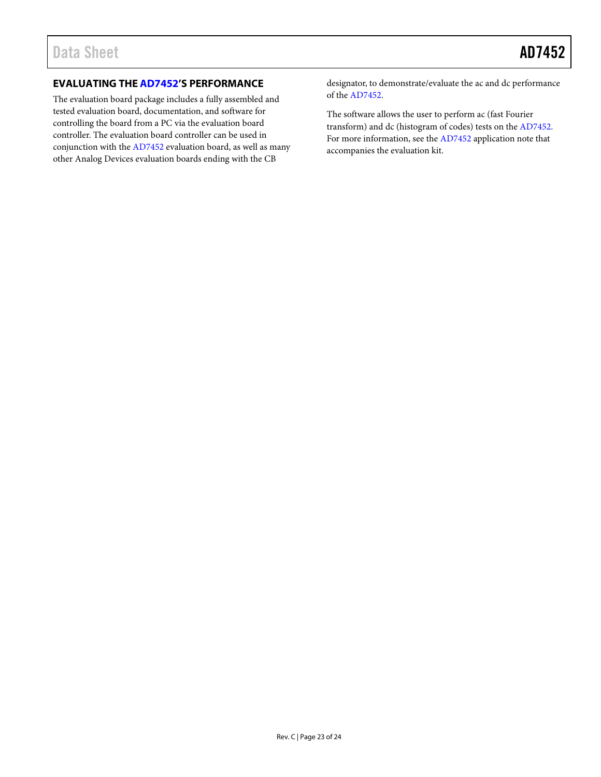### <span id="page-22-0"></span>**EVALUATING TH[E AD7452'](http://www.analog.com/ad7452?doc=ad7452.pdf)S PERFORMANCE**

The evaluation board package includes a fully assembled and tested evaluation board, documentation, and software for controlling the board from a PC via the evaluation board controller. The evaluation board controller can be used in conjunction with th[e AD7452](http://www.analog.com/ad7452?doc=ad7452.pdf) evaluation board, as well as many other Analog Devices evaluation boards ending with the CB

designator, to demonstrate/evaluate the ac and dc performance of the [AD7452.](http://www.analog.com/ad7452?doc=ad7452.pdf)

The software allows the user to perform ac (fast Fourier transform) and dc (histogram of codes) tests on th[e AD7452.](http://www.analog.com/ad7452?doc=ad7452.pdf)  For more information, see th[e AD7452](http://www.analog.com/ad7452?doc=ad7452.pdf) application note that accompanies the evaluation kit.